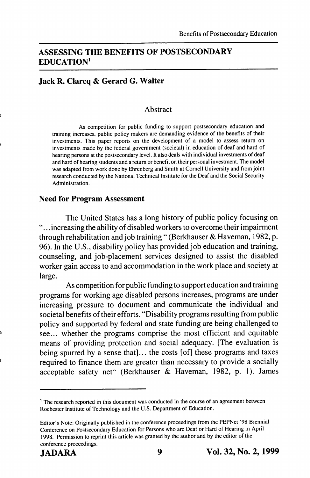# ASSESSING THE BENEFITS OF POSTSECONDARY EDUCATION'

# Jack R. Clarcq & Gerard G. Walter

#### **Abstract**

As competition for public funding to support postsecondary education and training increases, public policy makers are demanding evidence of the benefits of their investments. This paper reports on the development of a model to assess return on investments made by the federal government (societal) in education of deaf and hard of hearing persons at the postsecondary level. It also deals with individual investments of deaf and hard of hearing students and a return or benefit on their personal investment. The model was adapted from work done by Ehrenberg and Smith at Cornell University and from joint research conducted by the National Technical Institute for the Deaf and the Social Security Administration.

#### Need for Program Assessment

The United States has a long history of public policy focusing on . .increasing the ability of disabled workers to overcome their impairment through rehabilitation and job training " (Berkhauser & Haveman, 1982, p. 96). In the U.S., disability policy has provided job education and training, counseling, and job-placement services designed to assist the disabled worker gain access to and accommodation in the work place and society at large.

As competition for public funding to support education and training programs for working age disabled persons increases, programs are under increasing pressure to document and communicate the individual and societal benefits of their efforts. "Disability programs resulting from public policy and supported by federal and state funding are being challenged to see... whether the programs comprise the most efficient and equitable means of providing protection and social adequacy. [The evaluation is being spurred by a sense that]... the costs [of] these programs and taxes required to finance them are greater than necessary to provide a socially acceptable safety net" (Berkhauser & Haveman, 1982, p. 1). James

<sup>&</sup>lt;sup>1</sup> The research reported in this document was conducted in the course of an agreement between Rochester Institute of Technology and the U.S. Department of Education.

Editor's Note: Originally published in the conference proceedings from the PEPNet '98 Biennial Conference on Postsecondary Education for Persons who are Deat or Hard of Hearing in April 1998. Permission to reprint this article was granted by the author and by the editor of the conference proceedings.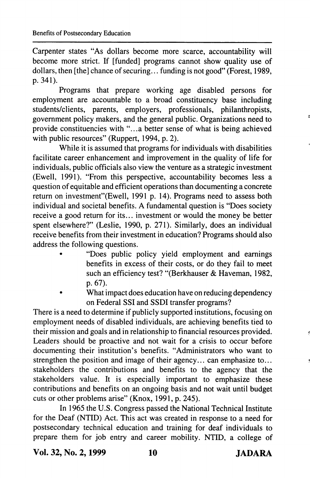Carpenter states "As dollars become more scarce, accountability will become more strict. If [funded] programs cannot show quality use of dollars, then [the] chance of securing... funding is not good" (Forest, 1989, p. 341).

Programs that prepare working age disabled persons for employment are accountable to a broad constituency base including students/clients, parents, employers, professionals, philanthropists, government policy makers, and the general public. Organizations need to provide constituencies with "...a better sense of what is being achieved with public resources" (Ruppert, 1994, p. 2).

While it is assumed that programs for individuals with disabilities facilitate career enhancement and improvement in the quality of life for individuals, public officials also view the venture as a strategic investment (Ewell, 1991). "From this perspective, accountability becomes less a question of equitable and efficient operations than documenting a concrete return on investment"(Ewell, 1991 p. 14). Programs need to assess both individual and societal benefits. A fundamental question is "Does society receive a good return for its... investment or would the money be better spent elsewhere?" (Leslie, 1990, p. 271). Similarly, does an individual receive benefits from their investment in education? Programs should also address the following questions.

- "Does public policy yield employment and earnings benefits in excess of their costs, or do they fail to meet such an efficiency test? "(Berkhauser & Haveman, 1982, p. 67).
- What impact does education have on reducing dependency on Federal SSI and SSDI transfer programs?

There is a need to determine if publicly supported institutions, focusing on employment needs of disabled individuals, are achieving benefits tied to their mission and goals and in relationship to financial resources provided. Leaders should be proactive and not wait for a crisis to occur before documenting their institution's benefits. "Administrators who want to strengthen the position and image of their agency... can emphasize to... stakeholders the contributions and benefits to the agency that the stakeholders value. It is especially important to emphasize these contributions and benefits on an ongoing basis and not wait until budget cuts or other problems arise" (Knox, 1991, p. 245).

In 1965 the U.S. Congress passed the National Technical Institute for the Deaf (NTID) Act. This act was created in response to a need for postsecondary technical education and training for deaf individuals to prepare them for job entry and career mobility. NTID, a college of

Vol. 32, No. 2,1999 10 JADARA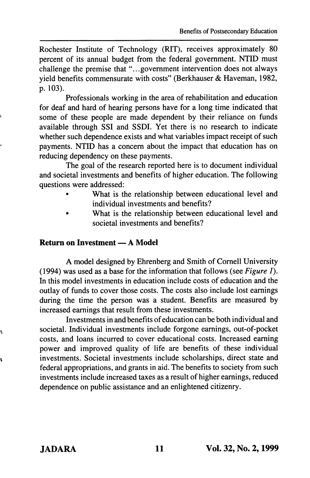Rochester Institute of Technology (RIT), receives approximately 80 percent of its annual budget from the federal government. NTID must challenge the premise that "...government intervention does not always yield benefits commensurate with costs" (Berkhauser & Haveman, 1982, p. 103).

Professionals working in the area of rehabilitation and education for deaf and hard of hearing persons have for a long time indicated that some of these people are made dependent by their reliance on funds available through SSI and SSDI. Yet there is no research to indicate whether such dependence exists and what variables impact receipt of such payments. NTID has a concern about the impact that education has on reducing dependency on these payments.

The goal of the research reported here is to document individual and societal investments and benefits of higher education. The following questions were addressed:

- What is the relationship between educational level and individual investments and benefits?
- What is the relationship between educational level and societal investments and benefits?

## Return on Investment — A Model

A model designed by Ehrenberg and Smith of Cornell University (1994) was used as a base for the information that follows (see Figure 1). In this model investments in education include costs of education and the outlay of funds to cover those costs. The costs also include lost earnings during the time the person was a student. Benefits are measured by increased earnings that result from these investments.

Investments in and benefits of education can be both individual and societal. Individual investments include forgone earnings, out-of-pocket costs, and loans incurred to cover educational costs. Increased earning power and improved quality of life are benefits of these individual investments. Societal investments include scholarships, direct state and federal appropriations, and grants in aid. The benefits to society from such investments include increased taxes as a result of higher earnings, reduced dependence on public assistance and an enlightened citizenry.

ą.

Ŋ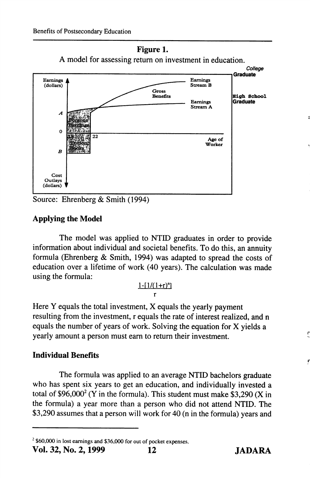



Source: Ehrenberg & Smith (1994)

# Applying the Model

The model was applied to NTID graduates in order to provide information about individual and societal benefits. To do this, an annuity formula (Ehrenberg & Smith, 1994) was adapted to spread the costs of education over a lifetime of work (40 years). The calculation was made using the formula:

#### $1-[1/(1+r)^n]$ r

Here Y equals the total investment, X equals the yearly payment resulting from the investment, r equals the rate of interest realized, and n equals the number of years of work. Solving the equation for X yields a yearly amount a person must earn to return their investment.

# Individual Benefits

The formula was applied to an average NTID bachelors graduate who has spent six years to get an education, and individually invested a total of \$96,000 $\textdegree$  (Y in the formula). This student must make \$3,290 (X in the formula) a year more than a person who did not attend NTID. The \$3,290 assumes that a person will work for 40 (n in the formula) years and F

7

 $^{2}$  \$60,000 in lost earnings and \$36,000 for out of pocket expenses.<br>Vol. 32. No. 2. 1999 12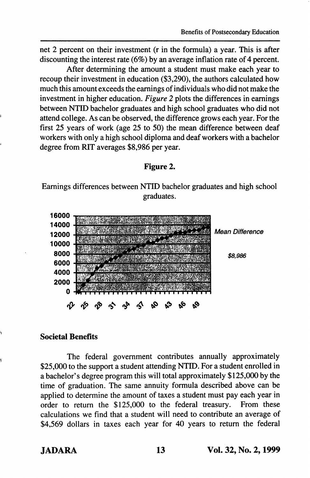Benefits of Postsecondary Education

net 2 percent on their investment (r in the formula) a year. This is after discounting the interest rate (6%) by an average inflation rate of 4 percent.

After determining the amount a student must make each year to recoup their investment in education (\$3,290), the authors calculated how much this amount exceeds the earnings of individuals who did not make the investment in higher education. Figure 2 plots the differences in earnings between NTID bachelor graduates and high school graduates who did not attend college. As can be observed, the difference grows each year. For the first 25 years of work (age 25 to 50) the mean difference between deaf workers with only a high school diploma and deaf workers with a bachelor degree from RIT averages \$8,986 per year.

## Figure 2.

Earnings differences between NTID bachelor graduates and high school graduates.



### Societal Benefits

The federal government contributes annually approximately \$25,000 to the support a student attending NTID. For a student enrolled in a bachelor's degree program this will total approximately \$125,000 by the time of graduation. The same annuity formula described above can be applied to determine the amount of taxes a student must pay each year in order to return the \$125,000 to the federal treasury. From these calculations we find that a student will need to contribute an average of \$4,569 dollars in taxes each year for 40 years to return the federal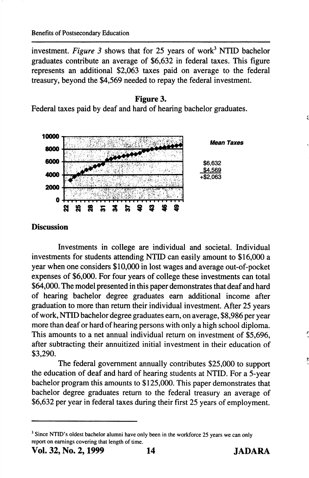investment. Figure 3 shows that for 25 years of work<sup>3</sup> NTID bachelor graduates contribute an average of \$6,632 in federal taxes. This figure represents an additional \$2,063 taxes paid on average to the federal treasury, beyond the \$4,569 needed to repay the federal investment.





## **Discussion**

Investments in college are individual and societal. Individual investments for students attending NTID can easily amount to \$16,000 a year when one considers \$10,000 in lost wages and average out-of-pocket expenses of \$6,000. For four years of college these investments can total \$64,000. The model presented in this paper demonstrates that deaf and hard of hearing bachelor degree graduates earn additional income after graduation to more than return their individual investment. After 25 years of work, NTID bachelor degree graduates earn, on average, \$8,986 per year more than deaf or hard of hearing persons with only a high school diploma. This amounts to a net annual individual return on investment of \$5,696, after subtracting their annuitized initial investment in their education of \$3,290.

The federal government annually contributes \$25,000 to support the education of deaf and hard of hearing students at NTID. For a 5-year bachelor program this amounts to \$125,000. This paper demonstrates that bachelor degree graduates return to the federal treasury an average of \$6,632 per year in federal taxes during their first 25 years of employment.

<sup>&</sup>lt;sup>3</sup> Since NTID's oldest bachelor alumni have only been in the workforce 25 years we can only report on earnings covering that length of time.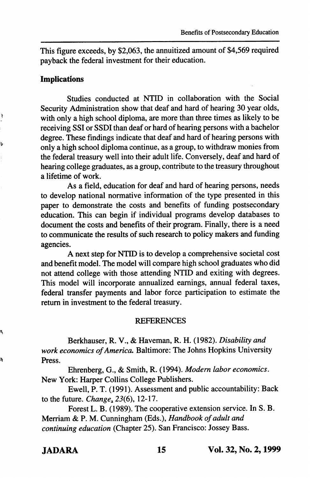This figure exceeds, by \$2,063, the annuitized amount of \$4,569 required payback the federal investment for their education.

## Implications

Ŕ

Ś

ą,

a,

Studies conducted at NTID in collaboration with the Social Security Administration show that deaf and hard of hearing 30 year olds, with only a high school diploma, are more than three times as likely to be receiving SSI or SSDI than deaf or hard of hearing persons with a bachelor degree. These findings indicate that deaf and hard of hearing persons with only a high school diploma continue, as a group, to withdraw monies from the federal treasury well into their adult life. Conversely, deaf and hard of hearing college graduates, as a group, contribute to the treasury throughout a lifetime of work.

As a field, education for deaf and hard of hearing persons, needs to develop national normative information of the type presented in this paper to demonstrate the costs and benefits of funding postsecondary education. This can begin if individual programs develop databases to document the costs and benefits of their program. Finally, there is a need to communicate the results of such research to policy makers and funding agencies.

A next step for NTID is to develop a comprehensive societal cost and benefit model. The model will compare high school graduates who did not attend college with those attending NTID and exiting with degrees. This model will incorporate annualized earnings, annual federal taxes, federal transfer payments and labor force participation to estimate the return in investment to the federal treasury.

#### **REFERENCES**

Berkhauser, R. V., & Haveman, R. H. (1982). Disability and work economics of America. Baltimore: The Johns Hopkins University Press.

Ehrenberg, G., & Smith, R. (1994). Modem labor economics. New York: Harper Collins College Publishers.

Ewell, P. T. (1991). Assessment and public accountability: Back to the future. Change,  $23(6)$ , 12-17.

Forest L. B. (1989). The cooperative extension service. In S. B. Merriam & P. M. Cunningham (Eds.), Handbook of adult and continuing education (Chapter 25). San Francisco: Jossey Bass.